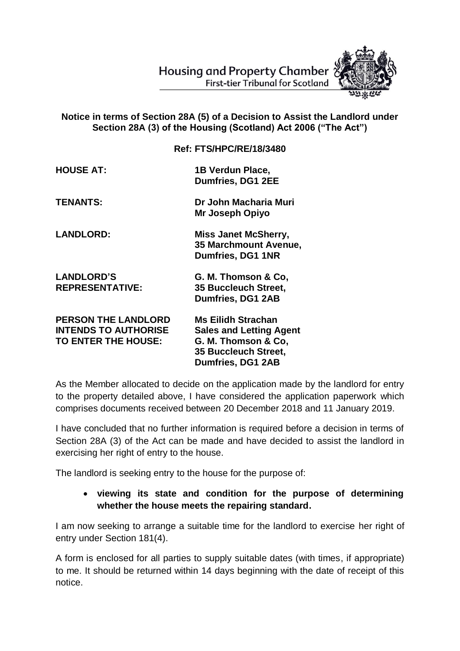Housing and Property Chamber **First-tier Tribunal for Scotland** 



## **Notice in terms of Section 28A (5) of a Decision to Assist the Landlord under Section 28A (3) of the Housing (Scotland) Act 2006 ("The Act")**

|                                                                                  | <b>Ref: FTS/HPC/RE/18/3480</b>                                                                                                  |
|----------------------------------------------------------------------------------|---------------------------------------------------------------------------------------------------------------------------------|
| <b>HOUSE AT:</b>                                                                 | 1B Verdun Place,<br>Dumfries, DG1 2EE                                                                                           |
| <b>TENANTS:</b>                                                                  | Dr John Macharia Muri<br>Mr Joseph Opiyo                                                                                        |
| <b>LANDLORD:</b>                                                                 | <b>Miss Janet McSherry,</b><br>35 Marchmount Avenue,<br>Dumfries, DG1 1NR                                                       |
| <b>LANDLORD'S</b><br><b>REPRESENTATIVE:</b>                                      | G. M. Thomson & Co,<br>35 Buccleuch Street,<br><b>Dumfries, DG1 2AB</b>                                                         |
| <b>PERSON THE LANDLORD</b><br><b>INTENDS TO AUTHORISE</b><br>TO ENTER THE HOUSE: | <b>Ms Eilidh Strachan</b><br><b>Sales and Letting Agent</b><br>G. M. Thomson & Co.<br>35 Buccleuch Street,<br>Dumfries, DG1 2AB |

As the Member allocated to decide on the application made by the landlord for entry to the property detailed above, I have considered the application paperwork which comprises documents received between 20 December 2018 and 11 January 2019.

I have concluded that no further information is required before a decision in terms of Section 28A (3) of the Act can be made and have decided to assist the landlord in exercising her right of entry to the house.

The landlord is seeking entry to the house for the purpose of:

## **viewing its state and condition for the purpose of determining whether the house meets the repairing standard.**

I am now seeking to arrange a suitable time for the landlord to exercise her right of entry under Section 181(4).

A form is enclosed for all parties to supply suitable dates (with times, if appropriate) to me. It should be returned within 14 days beginning with the date of receipt of this notice.